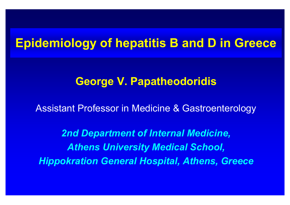## **Epidemiology of hepatitis B and D in Greece**

### **George V. Papatheodoridis**

Assistant Professor in Medicine & Gastroenterology

*2nd Department of Internal Medicine, Athens University Medical School, Hippokration General Hospital, Athens, Greece*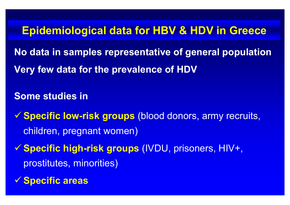### **Epidemiological data for HBV & HDV in Greece**

**No data in samples representative of general population Very few data for the prevalence of HDV**

**Some studies in** 

9 **Specific low-risk groups** (blood donors, army recruits, children, pregnant women)

9 **Specific high-risk groups** (IVDU, prisoners, HIV+, prostitutes, minorities)

9 **Specific areas**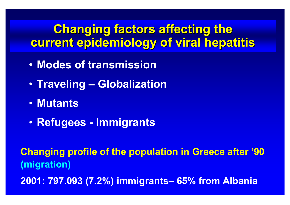## **Changing factors affecting the current epidemiology of viral hepatitis current epidemiology of viral hepatitis**

- **Modes of transmission**
- $\bullet$ **Traveling – Globalization**
- **Mutants**
- $\bullet$ **Refugees - Immigrants**

**Changing profile of the population in Greece after '90 (migration)**

**2001: 797.093 (7.2%) immigrants– 65% from Albania**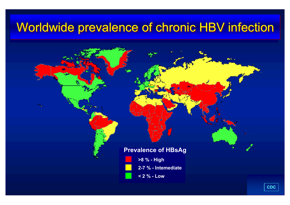## Worldwide prevalence of chronic HBV infection

#### **Prevalence of HBsAg**



**2-7 % - Intemediate**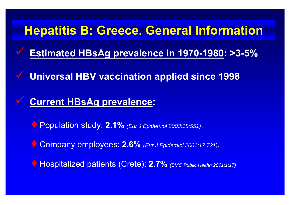## **Hepatitis B: Greece. General Information**

- **Estimated HBsAg prevalence in 1970-1980: >3-5%**
- $\checkmark$ **Universal HBV vaccination applied since 1998**

#### $\checkmark$ **Current HBsAg prevalence:**

 $\checkmark$ 

- ♦ Population study: **2.1%** *(Eur J Epidemiol 2003;18:551)*.
- ♦ Company employees: **2.6%** *(Eur J Epidemiol 2001;17:721)*.
- ♦ Hospitalized patients (Crete): **2.7%** *(BMC Public Health 2001;1:17)*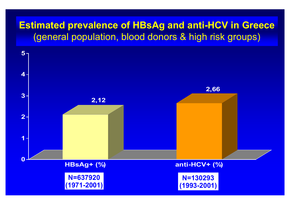#### **Estimated prevalence of HBsAg and anti-HCV in Greece**  (general population, blood donors & high risk groups)

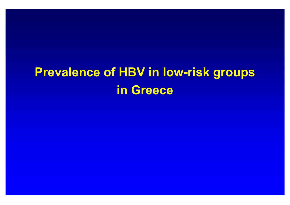# **Prevalence of HBV in low-risk groups in Greece**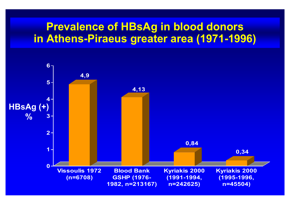### **Prevalence of HBsAg in blood donors in Athens-Piraeus greater area (1971-1996)**

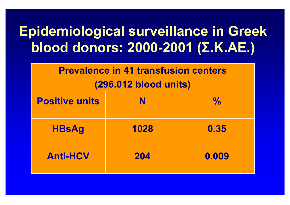# **Epidemiological surveillance in Greek blood donors: 2000-2001 ( Σ . Κ .ΑΕ.)**

| <b>Prevalence in 41 transfusion centers</b> |
|---------------------------------------------|
| (296.012 blood units)                       |

| <b>Positive units</b> | N    | $\frac{0}{0}$ |
|-----------------------|------|---------------|
| <b>HBsAg</b>          | 1028 | 0.35          |
| <b>Anti-HCV</b>       | 204  | 0.009         |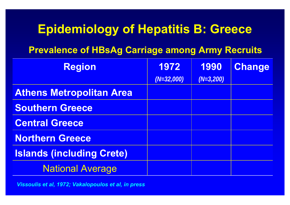## **Epidemiology of Hepatitis B: Greece**

#### **Prevalence of HBsAg Carriage among Army Recruits**

| <b>Region</b>                    | 1972         | 1990        | <b>Change</b> |
|----------------------------------|--------------|-------------|---------------|
|                                  | $(N=32,000)$ | $(N=3,200)$ |               |
| <b>Athens Metropolitan Area</b>  |              |             |               |
| <b>Southern Greece</b>           |              |             |               |
| <b>Central Greece</b>            |              |             |               |
| <b>Northern Greece</b>           |              |             |               |
| <b>Islands (including Crete)</b> |              |             |               |
| <b>National Average</b>          |              |             |               |

*Vissoulis et al, 1972; Vakalopoulos et al, in press*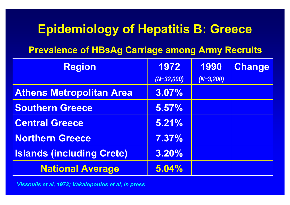## **Epidemiology of Hepatitis B: Greece**

#### **Prevalence of HBsAg Carriage among Army Recruits**

| <b>Region</b>                    | 1972         | 1990        | Change |
|----------------------------------|--------------|-------------|--------|
|                                  | $(N=32,000)$ | $(N=3,200)$ |        |
| <b>Athens Metropolitan Area</b>  | 3.07%        |             |        |
| <b>Southern Greece</b>           | 5.57%        |             |        |
| <b>Central Greece</b>            | 5.21%        |             |        |
| <b>Northern Greece</b>           | 7.37%        |             |        |
| <b>Islands (including Crete)</b> | 3.20%        |             |        |
| <b>National Average</b>          | 5.04%        |             |        |

*Vissoulis et al, 1972; Vakalopoulos et al, in press*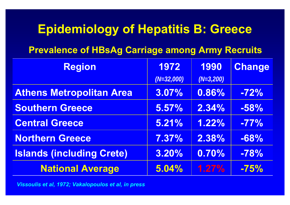## **Epidemiology of Hepatitis B: Greece**

#### **Prevalence of HBsAg Carriage among Army Recruits**

| <b>Region</b>                    | 1972         | 1990        | <b>Change</b> |
|----------------------------------|--------------|-------------|---------------|
|                                  | $(N=32,000)$ | $(N=3,200)$ |               |
| <b>Athens Metropolitan Area</b>  | 3.07%        | 0.86%       | $-72%$        |
| <b>Southern Greece</b>           | 5.57%        | 2.34%       | $-58%$        |
| <b>Central Greece</b>            | 5.21%        | 1.22%       | $-77%$        |
| <b>Northern Greece</b>           | 7.37%        | 2.38%       | $-68%$        |
| <b>Islands (including Crete)</b> | 3.20%        | 0.70%       | $-78%$        |
| <b>National Average</b>          | 5.04%        | 1.27%       | $-75%$        |

*Vissoulis et al, 1972; Vakalopoulos et al, in press*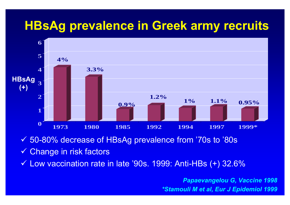## **HBsAg prevalence in Greek army recruits**



9 50-80% decrease of HBsAg prevalence from '70s to '80s

✔ Change in risk factors

 $\checkmark$  Low vaccination rate in late '90s. 1999: Anti-HBs  $(+)$  32.6%

*Papaevangelou G, Vaccine 1998 \*Stamouli M et al, Eur J Epidemiol 1999*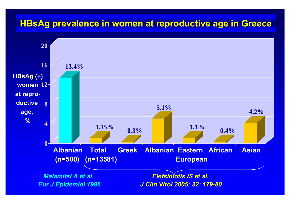#### **HBsAg prevalence in women at reproductive age in Greece**

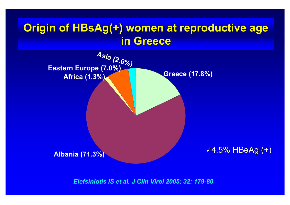### **Origin of HBsAg(+) women at reproductive age in Greece in Greece**



*Elefsiniotis IS et al. J Clin Virol 2005; 32: 179-80*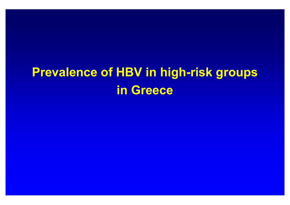# **Prevalence of HBV in high-risk groups in Greece**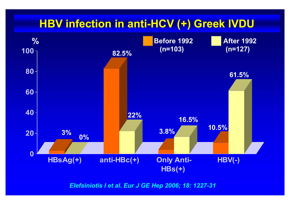## **HBV infection in anti-HCV (+) Greek IVDU**



*Elefsiniotis I et al. Eur J GE Hep 2006; 18: 1227-31*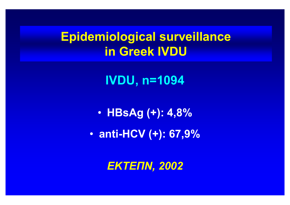## **Epidemiological surveillance in Greek IVDU**

**IVDU, n=1094**

 $\bullet$ **HBsAg (+): 4,8%** 

 $\bullet$ **anti-HCV (+): 67,9%**

*ΕΚΤΕΠΝ, 2002*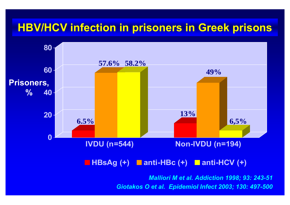### **HBV/HCV infection in prisoners in Greek prisons**



**HBsAg (+) anti-HBc (+) anti-HCV (+)**

*Malliori M et al. Addiction 1998; 93: 243-51 Giotakos O et al. Epidemiol Infect 2003; 130: 497-500*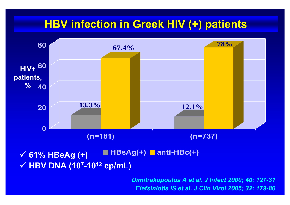## **HBV infection in Greek HIV (+) patients**



*Dimitrakopoulos A et al. J Infect 2000; 40: 127-31 Elefsiniotis IS et al. J Clin Virol 2005; 32: 179-80*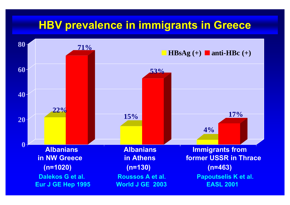### **HBV prevalence in immigrants in Greece**

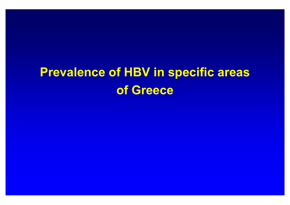# **Prevalence of HBV in specific areas of Greece**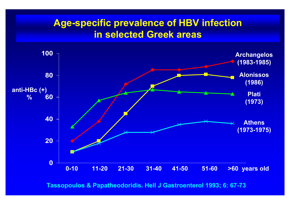#### **Age-specific prevalence of HBV infection in selected Greek areas**



**Tassopoulos & Papatheodoridis. Hell J Gastroenterol 1993; 6: 67-73**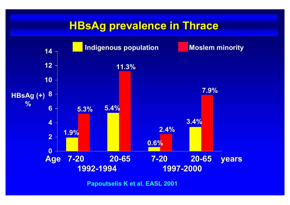### **HBsAg prevalence in Thrace**



**Papoutselis K et al. EASL 2001**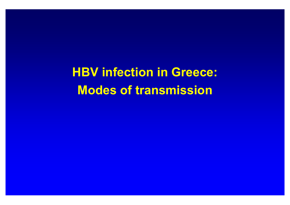**HBV infection in Greece: Modes of transmission**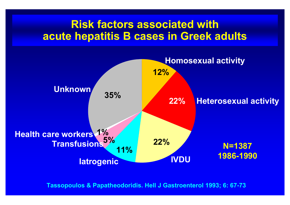### **Risk factors associated with acute hepatitis B cases in Greek adults**



**Tassopoulos & Papatheodoridis. Hell J Gastroenterol 1993; 6: 67-73**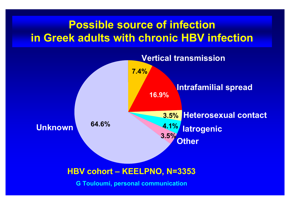## **Possible source of infection in Greek adults with chronic HBV infection**



#### **HBV cohort – KEELPNO, N=3353**

**G Touloumi, personal communication**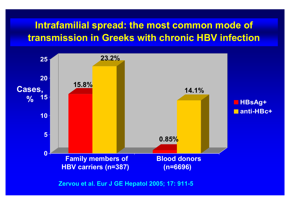### **Intrafamilial spread: the most common mode of transmission in Greeks with chronic HBV infection**



**Zervou et al. Eur J GE Hepatol 2005; 17: 911-5**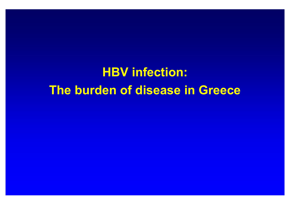**HBV infection: The burden of disease in Greece**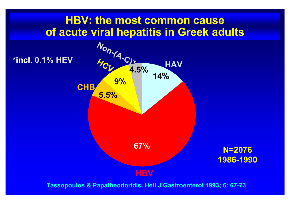### **HBV: the most common cause of acute viral hepatitis in Greek adults**



**Tassopoulos & Papatheodoridis. Hell J Gastroenterol 1993; 6: 67-73**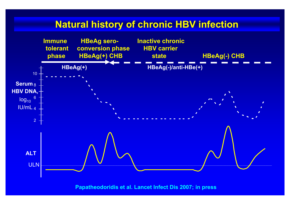#### **Natural history of chronic HBV infection**



**Papatheodoridis et al. Lancet Infect Dis 2007; in press**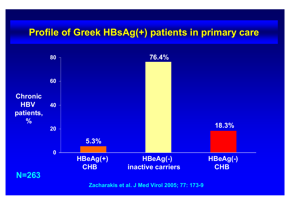#### **Profile of Greek HBsAg(+) patients in primary care**



**Zacharakis et al. J Med Virol 2005; 77: 173-9**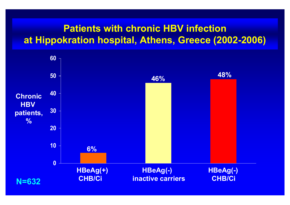#### **Patients with chronic HBV infection at Hippokration hospital, Athens, Greece (2002-2006)**

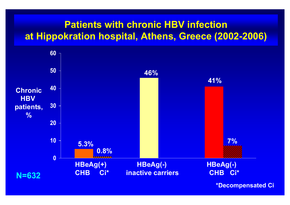#### **Patients with chronic HBV infection at Hippokration hospital, Athens, Greece (2002-2006)**



**\*Decompensated Ci**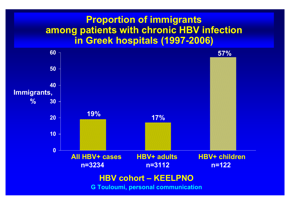#### **Proportion of immigrants among patients with chronic HBV infection in Greek hospitals (1997-2006)**

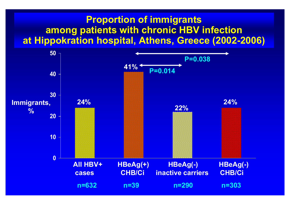#### **Proportion of immigrants among patients with chronic HBV infection at Hippokration hospital, Athens, Greece (2002-2006)**

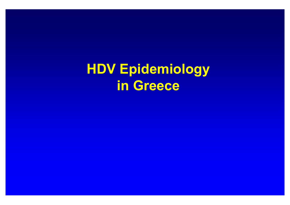**HDV Epidemiology in Greece**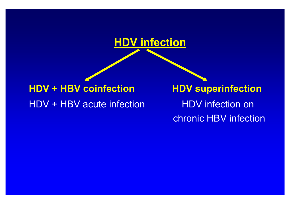

## **HDV + HBV coinfection HDV superinfection** HDV + HBV acute infection

 HDV infection on chronic HBV infection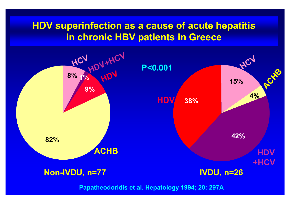#### **HDV superinfection as a cause of acute hepatitis in chronic HBV patients in Greece**



**Papatheodoridis et al. Hepatology 1994; 20: 297A**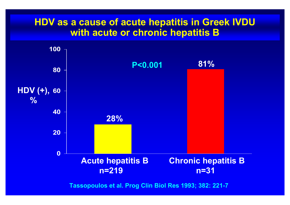#### **HDV as a cause of acute hepatitis in Greek IVDU with acute or chronic hepatitis B**



**Tassopoulos et al. Prog Clin Biol Res 1993; 382: 221-7**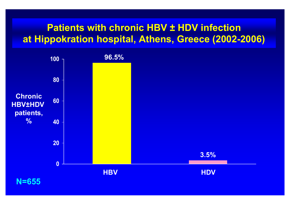#### **Patients with chronic HBV ± HDV infection at Hippokration hospital, Athens, Greece (2002-2006)**

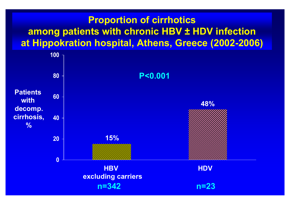### **Proportion of cirrhotics among patients with chronic HBV ± HDV infection at Hippokration hospital, Athens, Greece (2002-2006)**

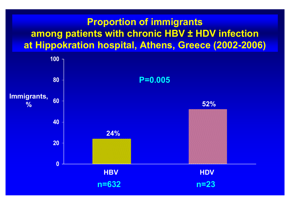### **Proportion of immigrants among patients with chronic HBV ± HDV infection at Hippokration hospital, Athens, Greece (2002-2006)**

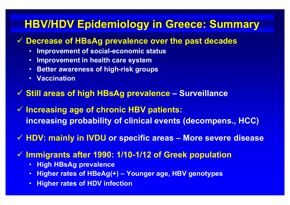## **HBV/HDV Epidemiology in Greece: Summary**

#### 9 **Decrease of HBsAg prevalence over the past decades**

- **Improvement of social-economic status**
- •**Improvement in health care system**
- $\bullet$ **Better awareness of high-risk groups**
- **Vaccination**
- 9 **Still areas of high HBsAg prevalence – Surveillance**
- 9 **Increasing age of chronic HBV patients: increasing probability of clinical events (decompens., HCC)**
- 9 **HDV: mainly in IVDU or specific areas – More severe disease**
- 9 **Immigrants after 1990: 1/10-1/12 of Greek population**
	- **High HBsAg prevalence**
	- • **Higher rates of HBeAg(+) Younger age, HBV genotypes**
	- •**Higher rates of HDV infection**